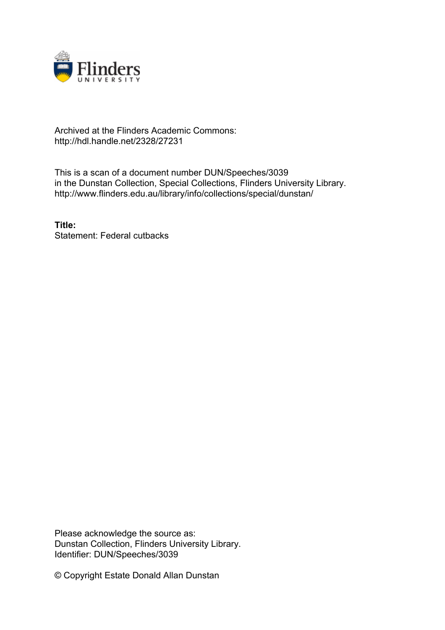

# Archived at the Flinders Academic Commons: http://hdl.handle.net/2328/27231

This is a scan of a document number DUN/Speeches/3039 in the Dunstan Collection, Special Collections, Flinders University Library. http://www.flinders.edu.au/library/info/collections/special/dunstan/

**Title:** Statement: Federal cutbacks

Please acknowledge the source as: Dunstan Collection, Flinders University Library. Identifier: DUN/Speeches/3039

© Copyright Estate Donald Allan Dunstan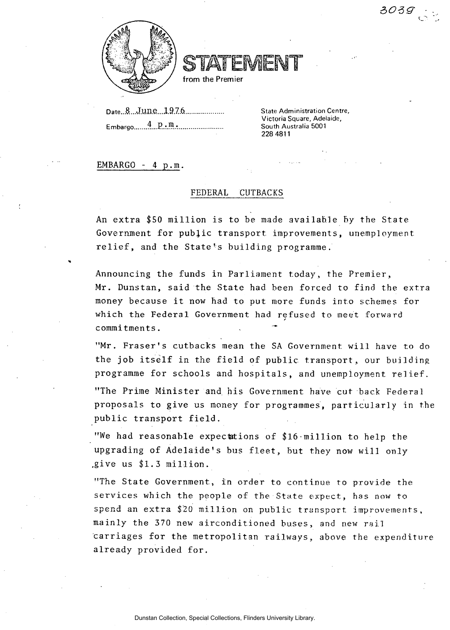

from the Premier

**Date...8.**..J.un.e....19.7.6. Embargo 4 **.p.m. ... ... ... ... ... ... ... ... ... ... ... ... ... ... ... ... ... ... ... ... ... ... ... ... ... ... ... ... ... ... ... ... ... ...** **State Administration Centre, Victoria Square, Adelaide, South Australia 5001 228 4811** 

*aozg- -*

**EMBARGO - 4 p.m.** 

### **FEDERAL CUTBACKS**

**An extra \$50 million is to be made available by the State Government for public transport improvements, unemployment, relief, and the State's building programme.** 

**Announcing the funds in Parliament today, the Premier, Mr. Dunstan, said the State had been forced to find the extra money because it now had to put more funds into schemes for which the Federal Government had refused to meet forward commitments.** 

**"Mr. Fraser's cutbacks mean the SA Government will have to do**  the job itself in the field of public transport, our building **programme for schools and hospitals, and unemployment relief.** 

**"The Prime Minister and his Government have cut back Federal proposals to give us money for programmes, particularly in the public transport field.** 

**"We had reasonable expectations of \$16 million to help the upgrading of Adelaide's bus fleet, but they now will only .give us \$1.3 million.** 

**"The State Government» in order to continue to provide the services which the people of the State expect, has now to spend an extra \$20 million on public transport improvements, mainly the 370 new airconditioned buses, and new rail carriages for the metropolitan railways, above the expenditure already provided for.**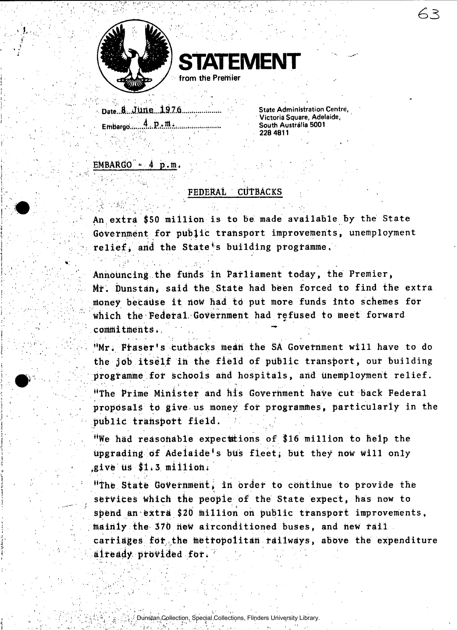



**••• D«tei.A;..JM«...l9.7j6..., J.L . State Administration Centre, Embargo T.i.P.i'.^.v.;,..-.;...: South Australia 5001** 

**. Victoria Square, Adelaide^ ; 228 4811** 

# $EMBARGO - 4 p.m.$

## FEDERAL CUTBACKS

An extra \$50 million is to be made available By the State Government for pUbjic transport improvements, unemployment relief, and the State's building programme.

Announcing the funds in Parliament today, the Premier, Mr. Dunstan, said the State had been forced to find the extra money because it now had to put more funds into schemes for Which the Federal Government had refused to meet forward commitments.

"Mr. Fraser's cutbacks mean the SA Government will have to do the job itself in the field of public transport, our building programme for schools and hospitals, and unemployment relief. <sup>H</sup>The Prime Minister and his Government have cut back Federal proposals to give us money for programmes, particularly in the public transport field.

"We had reasonable expectations of \$16 million to help the upgrading of Adelaide's bus fleet; but they now will only .give us  $$1.3$  million.

"The State Government, in order to continue to provide the services Which the people of the State expect, has now to spend an extra \$20 million on public transport improvements, mainly the 370 neW airconditioned buses, and new rail carriages for the metropolitan railways, above the expenditure already provided for.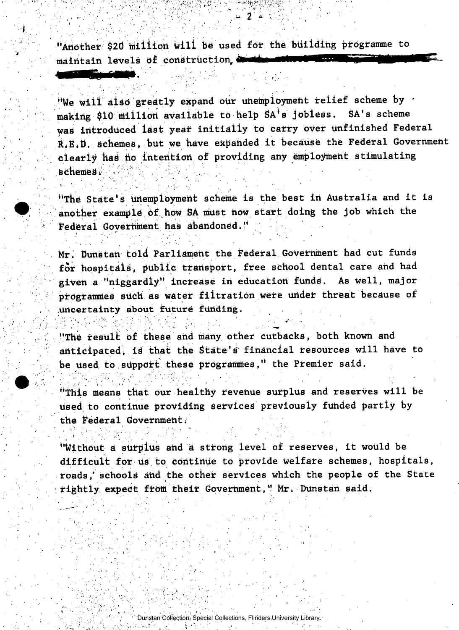"Another \$20 million will be used for the building programme to maintain levels of construction,  $\blacksquare$ 

"We will also greatly expand our unemployment relief scheme by making \$10 million available to help SA<sup>+</sup>s jobless. SA's scheme was introduced last year initially to carry over unfinished Federal R.E.D. schemes, but we have expanded it because the Federal Government clearly has no intention of providing any employment stimulating  $s$ chemesi $i'$ 

"The State's unemployment scheme is the best in Australia and it is another example of how SA must now start doing the job which the Federal Government has abandoned."

Mr. Dunstan told Parliament the Federal GoVetnment had cut funds for hospitals, public transport, free school dental care and had given a "niggardly" increase in education funds. As well, major programmes sUdh as water filtratidn were under threat because of uncertainty about future funding.

"The result of these and many other cutbacks, both known and anticipated, is that the State's financial resources will have to be used to support these programmes," the Premier said.

''This means that our healthy revenue surplus and reserves will be Used to continue providing services previously funded partly by the federal Government,

"Without d surplus and *A* strong level of reserves, it Would be difficult for us to continue to provide welfare schemes, hospitals, roads, schools and the other services which the people of the State rightly expect from their Government," Mr. Dunstan said.

Dunstan Collection, Special Collections, Flinders University Library.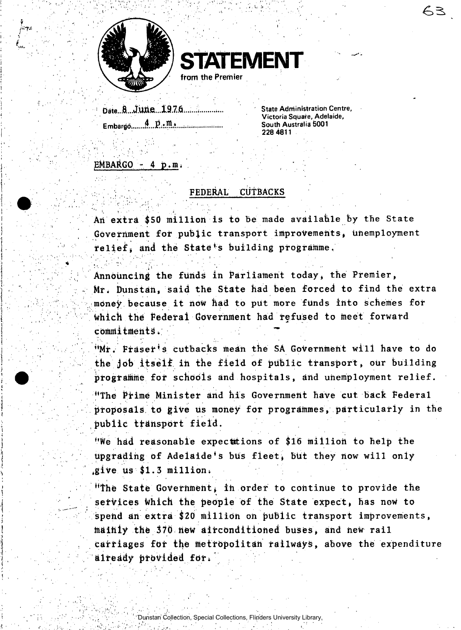



**date...l..JMe...l9.7.6;..<sup>i</sup> ...i Embardd ^ South Australia 5001** 

**State Administration Centre, Victoria Square, Adelaide, 228 4811** 

63

### $EMBARGO - 4 p.m.$

### FEDERAL CUTBACKS

An extra \$50 million is to be made available by the State Government £of pubjic transport improvements, unemployment relief, and the State's building programme.

Announcing the funds in Parliament today, the Premier, Mr. Dunstan, said the State had been forced to find the extra money; because it now had to put more funds into schemes for Which the Federal Government had refused to meet forward commitments. ' .

"Mr. Fraser's cutbacks mean the SA Government will have to do the job itself. in the field of public transport, our building programme for schools and hospitals, and unemployment relief.

"The Prime Minister and his Government have cut back Federal proposals to give us money for programmes, particularly in the public transport field.

"We had reasonable expectations of \$16 million to help the upgrading of Adelaide's bus fleet, but they now will only .give us \$1.3 million.

"The State Government, in order to continue to provide the services which the people of the State expect, has now to spehd an extra \$20 million on public transport improvements, maihly the 370 new airconditioned buses, and new rail carriages for the metropolitan railways, above the expenditure already **provided** fori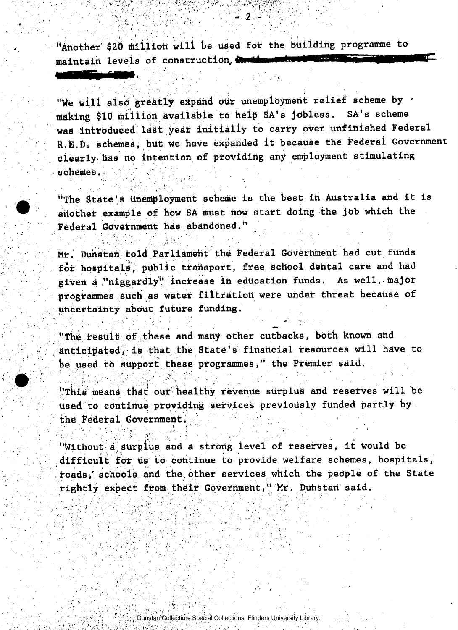"Another \$20 million will be used for the building programme to maintain levels of construction,

"We will also greatly expand our unemployment relief scheme by making \$10 million available to help SA's jobless. SA's scheme was introduced last year initially to carry over unfinished Federal R.E.D. schemes, but we have expanded it because the Federal Government clearly has no intention of providing any employment stimulating schemes.

 $2 -$ 

"The State's unemployment scheme is the best in Australia and it is another example of how SA must now start doing the job which the Federal Government has abandoned."

Mr. Dunstan told Parliament the Federal Government had cut funds for hospitals, public transport, free school dental care and had given a "niggardly" increase in education funds. As well, major programmes such as water filtration were under threat because of uncertainty about future funding.

"The result of these and many other cutbacks, both known and anticipated, is that the State's financial resources will have to be used to support these programmes," the Premier said.

"This means that out healthy revenue surplus and reserves will be used to continue providing services previously funded partly by the Federal Government.

"Without a.**surplus** and a strong level of reserves, it would be difficult for us to continue to provide welfare schemes, hospitals, toads / schools and the other services which the pedplia of the State rightly expect from their Government," Mr. Duhstan said.

Dunstan Collection, Special Collections, Flinders University Library.